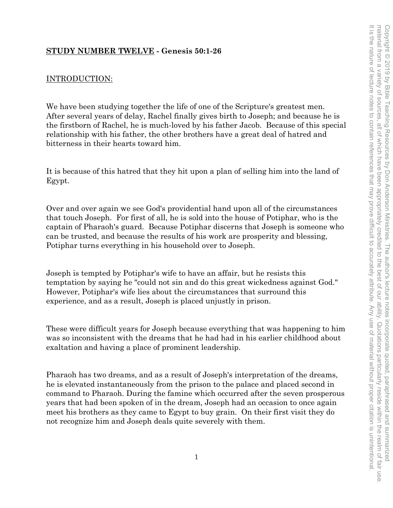# **STUDY NUMBER TWELVE - Genesis 50:1-26**

# INTRODUCTION:

We have been studying together the life of one of the Scripture's greatest men. After several years of delay, Rachel finally gives birth to Joseph; and because he is the firstborn of Rachel, he is much-loved by his father Jacob. Because of this special relationship with his father, the other brothers have a great deal of hatred and bitterness in their hearts toward him.

It is because of this hatred that they hit upon a plan of selling him into the land of Egypt.

Over and over again we see God's providential hand upon all of the circumstances that touch Joseph. For first of all, he is sold into the house of Potiphar, who is the captain of Pharaoh's guard. Because Potiphar discerns that Joseph is someone who can be trusted, and because the results of his work are prosperity and blessing, Potiphar turns everything in his household over to Joseph.

Joseph is tempted by Potiphar's wife to have an affair, but he resists this temptation by saying he "could not sin and do this great wickedness against God." However, Potiphar's wife lies about the circumstances that surround this experience, and as a result, Joseph is placed unjustly in prison.

These were difficult years for Joseph because everything that was happening to him was so inconsistent with the dreams that he had had in his earlier childhood about exaltation and having a place of prominent leadership.

Pharaoh has two dreams, and as a result of Joseph's interpretation of the dreams, he is elevated instantaneously from the prison to the palace and placed second in command to Pharaoh. During the famine which occurred after the seven prosperous years that had been spoken of in the dream, Joseph had an occasion to once again meet his brothers as they came to Egypt to buy grain. On their first visit they do not recognize him and Joseph deals quite severely with them.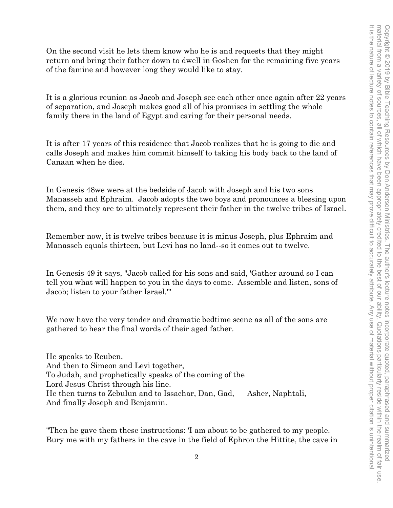On the second visit he lets them know who he is and requests that they might return and bring their father down to dwell in Goshen for the remaining five years of the famine and however long they would like to stay.

It is a glorious reunion as Jacob and Joseph see each other once again after 22 years of separation, and Joseph makes good all of his promises in settling the whole family there in the land of Egypt and caring for their personal needs.

It is after 17 years of this residence that Jacob realizes that he is going to die and calls Joseph and makes him commit himself to taking his body back to the land of Canaan when he dies.

In Genesis 48we were at the bedside of Jacob with Joseph and his two sons Manasseh and Ephraim. Jacob adopts the two boys and pronounces a blessing upon them, and they are to ultimately represent their father in the twelve tribes of Israel.

Remember now, it is twelve tribes because it is minus Joseph, plus Ephraim and Manasseh equals thirteen, but Levi has no land--so it comes out to twelve.

In Genesis 49 it says, "Jacob called for his sons and said, 'Gather around so I can tell you what will happen to you in the days to come. Assemble and listen, sons of Jacob; listen to your father Israel.'"

We now have the very tender and dramatic bedtime scene as all of the sons are gathered to hear the final words of their aged father.

He speaks to Reuben, And then to Simeon and Levi together, To Judah, and prophetically speaks of the coming of the Lord Jesus Christ through his line. He then turns to Zebulun and to Issachar, Dan, Gad, Asher, Naphtali, And finally Joseph and Benjamin.

"Then he gave them these instructions: 'I am about to be gathered to my people. Bury me with my fathers in the cave in the field of Ephron the Hittite, the cave in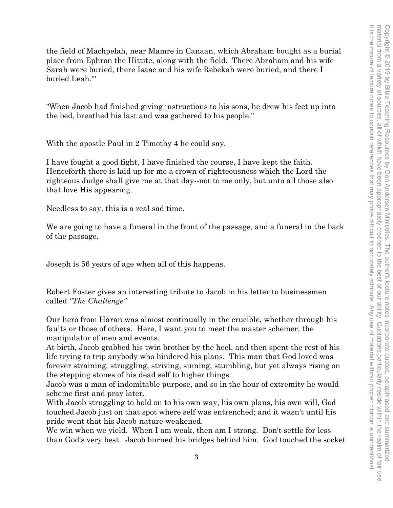the field of Machpelah, near Mamre in Canaan, which Abraham bought as a burial place from Ephron the Hittite, along with the field. There Abraham and his wife Sarah were buried, there Isaac and his wife Rebekah were buried, and there I buried Leah.'"

"When Jacob had finished giving instructions to his sons, he drew his feet up into the bed, breathed his last and was gathered to his people."

With the apostle Paul in  $2$  Timothy 4 he could say,

I have fought a good fight, I have finished the course, I have kept the faith. Henceforth there is laid up for me a crown of righteousness which the Lord the righteous Judge shall give me at that day--not to me only, but unto all those also that love His appearing.

Needless to say, this is a real sad time.

We are going to have a funeral in the front of the passage, and a funeral in the back of the passage.

Joseph is 56 years of age when all of this happens.

Robert Foster gives an interesting tribute to Jacob in his letter to businessmen called *"The Challenge"*

Our hero from Haran was almost continually in the crucible, whether through his faults or those of others. Here, I want you to meet the master schemer, the manipulator of men and events.

At birth, Jacob grabbed his twin brother by the heel, and then spent the rest of his life trying to trip anybody who hindered his plans. This man that God loved was forever straining, struggling, striving, sinning, stumbling, but yet always rising on the stepping stones of his dead self to higher things.

Jacob was a man of indomitable purpose, and so in the hour of extremity he would scheme first and pray later.

With Jacob struggling to hold on to his own way, his own plans, his own will, God touched Jacob just on that spot where self was entrenched; and it wasn't until his pride went that his Jacob-nature weakened.

We win when we yield. When I am weak, then am I strong. Don't settle for less than God's very best. Jacob burned his bridges behind him. God touched the socket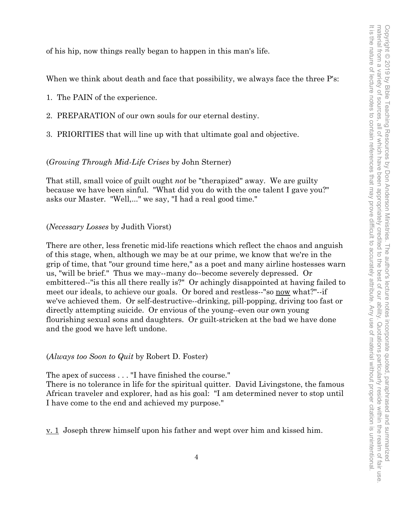of his hip, now things really began to happen in this man's life.

When we think about death and face that possibility, we always face the three P's:

- 1. The PAIN of the experience.
- 2. PREPARATION of our own souls for our eternal destiny.
- 3. PRIORITIES that will line up with that ultimate goal and objective.

## (*Growing Through Mid-Life Crises* by John Sterner)

That still, small voice of guilt ought *not* be "therapized" away. We are guilty because we have been sinful. "What did you do with the one talent I gave you?" asks our Master. "Well,..." we say, "I had a real good time."

#### (*Necessary Losses* by Judith Viorst)

There are other, less frenetic mid-life reactions which reflect the chaos and anguish of this stage, when, although we may be at our prime, we know that we're in the grip of time, that "our ground time here," as a poet and many airline hostesses warn us, "will be brief." Thus we may--many do--become severely depressed. Or embittered--"is this all there really is?" Or achingly disappointed at having failed to meet our ideals, to achieve our goals. Or bored and restless--"so now what?"--if we've achieved them. Or self-destructive--drinking, pill-popping, driving too fast or directly attempting suicide. Or envious of the young--even our own young flourishing sexual sons and daughters. Or guilt-stricken at the bad we have done and the good we have left undone.

#### (*Always too Soon to Quit* by Robert D. Foster)

The apex of success . . . "I have finished the course."

There is no tolerance in life for the spiritual quitter. David Livingstone, the famous African traveler and explorer, had as his goal: "I am determined never to stop until I have come to the end and achieved my purpose."

v. 1 Joseph threw himself upon his father and wept over him and kissed him.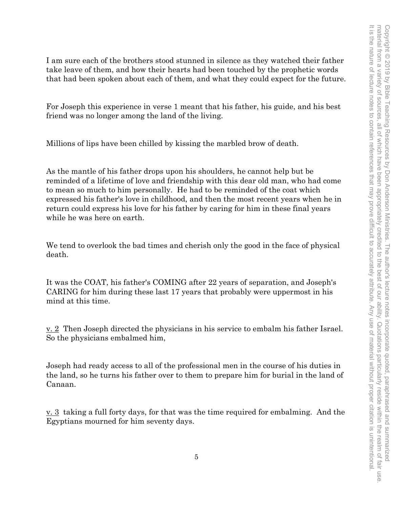I am sure each of the brothers stood stunned in silence as they watched their father take leave of them, and how their hearts had been touched by the prophetic words that had been spoken about each of them, and what they could expect for the future.

For Joseph this experience in verse 1 meant that his father, his guide, and his best friend was no longer among the land of the living.

Millions of lips have been chilled by kissing the marbled brow of death.

As the mantle of his father drops upon his shoulders, he cannot help but be reminded of a lifetime of love and friendship with this dear old man, who had come to mean so much to him personally. He had to be reminded of the coat which expressed his father's love in childhood, and then the most recent years when he in return could express his love for his father by caring for him in these final years while he was here on earth.

We tend to overlook the bad times and cherish only the good in the face of physical death.

It was the COAT, his father's COMING after 22 years of separation, and Joseph's CARING for him during these last 17 years that probably were uppermost in his mind at this time.

v. 2 Then Joseph directed the physicians in his service to embalm his father Israel. So the physicians embalmed him,

Joseph had ready access to all of the professional men in the course of his duties in the land, so he turns his father over to them to prepare him for burial in the land of Canaan.

v. 3 taking a full forty days, for that was the time required for embalming. And the Egyptians mourned for him seventy days.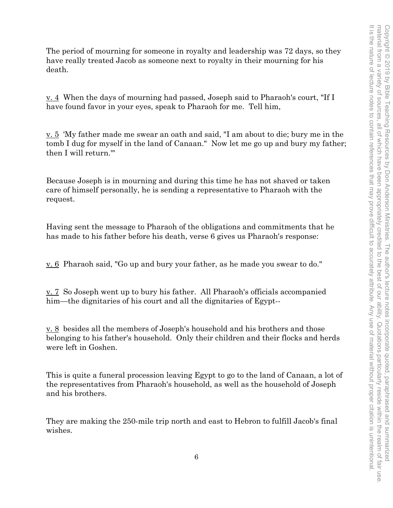The period of mourning for someone in royalty and leadership was 72 days, so they have really treated Jacob as someone next to royalty in their mourning for his death.

v. 4 When the days of mourning had passed, Joseph said to Pharaoh's court, "If I have found favor in your eyes, speak to Pharaoh for me. Tell him,

v. 5 'My father made me swear an oath and said, "I am about to die; bury me in the tomb I dug for myself in the land of Canaan." Now let me go up and bury my father; then I will return.'"

Because Joseph is in mourning and during this time he has not shaved or taken care of himself personally, he is sending a representative to Pharaoh with the request.

Having sent the message to Pharaoh of the obligations and commitments that he has made to his father before his death, verse 6 gives us Pharaoh's response:

v. 6 Pharaoh said, "Go up and bury your father, as he made you swear to do."

v. 7 So Joseph went up to bury his father. All Pharaoh's officials accompanied him—the dignitaries of his court and all the dignitaries of Egypt--

v. 8 besides all the members of Joseph's household and his brothers and those belonging to his father's household. Only their children and their flocks and herds were left in Goshen.

This is quite a funeral procession leaving Egypt to go to the land of Canaan, a lot of the representatives from Pharaoh's household, as well as the household of Joseph and his brothers.

They are making the 250-mile trip north and east to Hebron to fulfill Jacob's final wishes.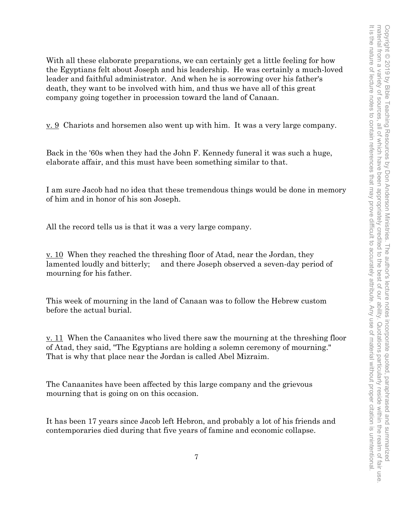With all these elaborate preparations, we can certainly get a little feeling for how the Egyptians felt about Joseph and his leadership. He was certainly a much-loved leader and faithful administrator. And when he is sorrowing over his father's death, they want to be involved with him, and thus we have all of this great company going together in procession toward the land of Canaan.

<u>v. 9</u> Chariots and horsemen also went up with him. It was a very large company.

Back in the '60s when they had the John F. Kennedy funeral it was such a huge, elaborate affair, and this must have been something similar to that.

I am sure Jacob had no idea that these tremendous things would be done in memory of him and in honor of his son Joseph.

All the record tells us is that it was a very large company.

v. 10 When they reached the threshing floor of Atad, near the Jordan, they lamented loudly and bitterly; and there Joseph observed a seven-day period of mourning for his father.

This week of mourning in the land of Canaan was to follow the Hebrew custom before the actual burial.

v. 11 When the Canaanites who lived there saw the mourning at the threshing floor of Atad, they said, "The Egyptians are holding a solemn ceremony of mourning." That is why that place near the Jordan is called Abel Mizraim.

The Canaanites have been affected by this large company and the grievous mourning that is going on on this occasion.

It has been 17 years since Jacob left Hebron, and probably a lot of his friends and contemporaries died during that five years of famine and economic collapse.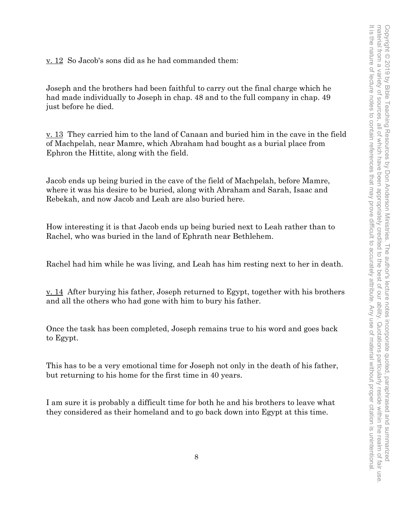v. 12 So Jacob's sons did as he had commanded them:

Joseph and the brothers had been faithful to carry out the final charge which he had made individually to Joseph in chap. 48 and to the full company in chap. 49 just before he died.

v. 13 They carried him to the land of Canaan and buried him in the cave in the field of Machpelah, near Mamre, which Abraham had bought as a burial place from Ephron the Hittite, along with the field.

Jacob ends up being buried in the cave of the field of Machpelah, before Mamre, where it was his desire to be buried, along with Abraham and Sarah, Isaac and Rebekah, and now Jacob and Leah are also buried here.

How interesting it is that Jacob ends up being buried next to Leah rather than to Rachel, who was buried in the land of Ephrath near Bethlehem.

Rachel had him while he was living, and Leah has him resting next to her in death.

<u>v. 14</u> After burying his father, Joseph returned to Egypt, together with his brothers and all the others who had gone with him to bury his father.

Once the task has been completed, Joseph remains true to his word and goes back to Egypt.

This has to be a very emotional time for Joseph not only in the death of his father, but returning to his home for the first time in 40 years.

I am sure it is probably a difficult time for both he and his brothers to leave what they considered as their homeland and to go back down into Egypt at this time.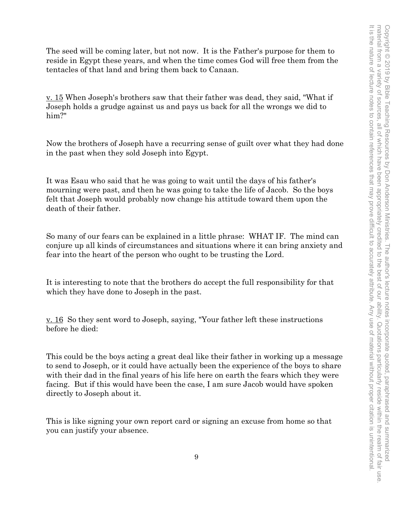The seed will be coming later, but not now. It is the Father's purpose for them to reside in Egypt these years, and when the time comes God will free them from the tentacles of that land and bring them back to Canaan.

v. 15 When Joseph's brothers saw that their father was dead, they said, "What if Joseph holds a grudge against us and pays us back for all the wrongs we did to him?"

Now the brothers of Joseph have a recurring sense of guilt over what they had done in the past when they sold Joseph into Egypt.

It was Esau who said that he was going to wait until the days of his father's mourning were past, and then he was going to take the life of Jacob. So the boys felt that Joseph would probably now change his attitude toward them upon the death of their father.

So many of our fears can be explained in a little phrase: WHAT IF. The mind can conjure up all kinds of circumstances and situations where it can bring anxiety and fear into the heart of the person who ought to be trusting the Lord.

It is interesting to note that the brothers do accept the full responsibility for that which they have done to Joseph in the past.

v. 16 So they sent word to Joseph, saying, "Your father left these instructions before he died:

This could be the boys acting a great deal like their father in working up a message to send to Joseph, or it could have actually been the experience of the boys to share with their dad in the final years of his life here on earth the fears which they were facing. But if this would have been the case, I am sure Jacob would have spoken directly to Joseph about it.

This is like signing your own report card or signing an excuse from home so that you can justify your absence.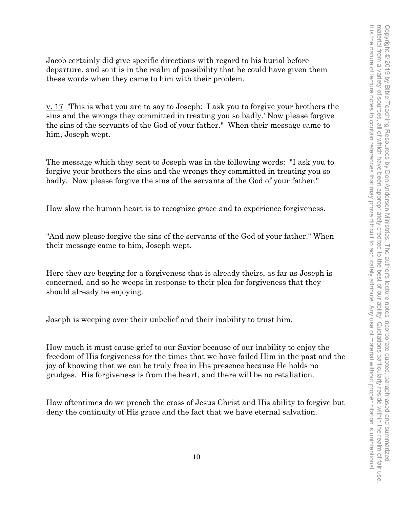Jacob certainly did give specific directions with regard to his burial before departure, and so it is in the realm of possibility that he could have given them these words when they came to him with their problem.

<u>v. 17</u> This is what you are to say to Joseph: I ask you to forgive your brothers the sins and the wrongs they committed in treating you so badly.' Now please forgive the sins of the servants of the God of your father." When their message came to him, Joseph wept.

The message which they sent to Joseph was in the following words: "I ask you to forgive your brothers the sins and the wrongs they committed in treating you so badly. Now please forgive the sins of the servants of the God of your father."

How slow the human heart is to recognize grace and to experience forgiveness.

"And now please forgive the sins of the servants of the God of your father." When their message came to him, Joseph wept.

Here they are begging for a forgiveness that is already theirs, as far as Joseph is concerned, and so he weeps in response to their plea for forgiveness that they should already be enjoying.

Joseph is weeping over their unbelief and their inability to trust him.

How much it must cause grief to our Savior because of our inability to enjoy the freedom of His forgiveness for the times that we have failed Him in the past and the joy of knowing that we can be truly free in His presence because He holds no grudges. His forgiveness is from the heart, and there will be no retaliation.

How oftentimes do we preach the cross of Jesus Christ and His ability to forgive but deny the continuity of His grace and the fact that we have eternal salvation.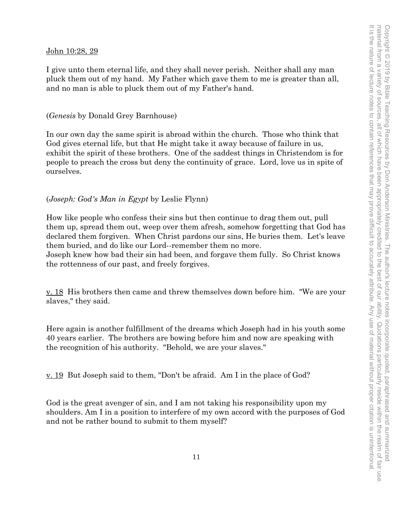## John 10:28, 29

I give unto them eternal life, and they shall never perish. Neither shall any man pluck them out of my hand. My Father which gave them to me is greater than all, and no man is able to pluck them out of my Father's hand.

## (*Genesis* by Donald Grey Barnhouse)

In our own day the same spirit is abroad within the church. Those who think that God gives eternal life, but that He might take it away because of failure in us, exhibit the spirit of these brothers. One of the saddest things in Christendom is for people to preach the cross but deny the continuity of grace. Lord, love us in spite of ourselves.

## (*Joseph: God's Man in Egypt* by Leslie Flynn)

How like people who confess their sins but then continue to drag them out, pull them up, spread them out, weep over them afresh, somehow forgetting that God has declared them forgiven. When Christ pardons our sins, He buries them. Let's leave them buried, and do like our Lord--remember them no more.

Joseph knew how bad their sin had been, and forgave them fully. So Christ knows the rottenness of our past, and freely forgives.

<u>v. 18</u> His brothers then came and threw themselves down before him. "We are your slaves," they said.

Here again is another fulfillment of the dreams which Joseph had in his youth some 40 years earlier. The brothers are bowing before him and now are speaking with the recognition of his authority. "Behold, we are your slaves."

<u>v. 19</u> But Joseph said to them, "Don't be afraid. Am I in the place of God?

God is the great avenger of sin, and I am not taking his responsibility upon my shoulders. Am I in a position to interfere of my own accord with the purposes of God and not be rather bound to submit to them myself?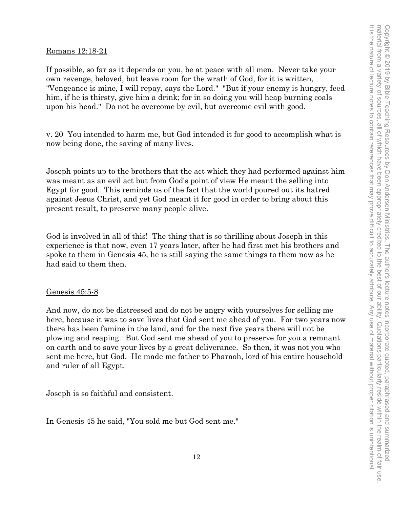## Romans 12:18-21

If possible, so far as it depends on you, be at peace with all men. Never take your own revenge, beloved, but leave room for the wrath of God, for it is written, "Vengeance is mine, I will repay, says the Lord." "But if your enemy is hungry, feed him, if he is thirsty, give him a drink; for in so doing you will heap burning coals upon his head." Do not be overcome by evil, but overcome evil with good.

v. 20 You intended to harm me, but God intended it for good to accomplish what is now being done, the saving of many lives.

Joseph points up to the brothers that the act which they had performed against him was meant as an evil act but from God's point of view He meant the selling into Egypt for good. This reminds us of the fact that the world poured out its hatred against Jesus Christ, and yet God meant it for good in order to bring about this present result, to preserve many people alive.

God is involved in all of this! The thing that is so thrilling about Joseph in this experience is that now, even 17 years later, after he had first met his brothers and spoke to them in Genesis 45, he is still saying the same things to them now as he had said to them then.

#### Genesis 45:5-8

And now, do not be distressed and do not be angry with yourselves for selling me here, because it was to save lives that God sent me ahead of you. For two years now there has been famine in the land, and for the next five years there will not be plowing and reaping. But God sent me ahead of you to preserve for you a remnant on earth and to save your lives by a great deliverance. So then, it was not you who sent me here, but God. He made me father to Pharaoh, lord of his entire household and ruler of all Egypt.

Joseph is so faithful and consistent.

In Genesis 45 he said, "You sold me but God sent me."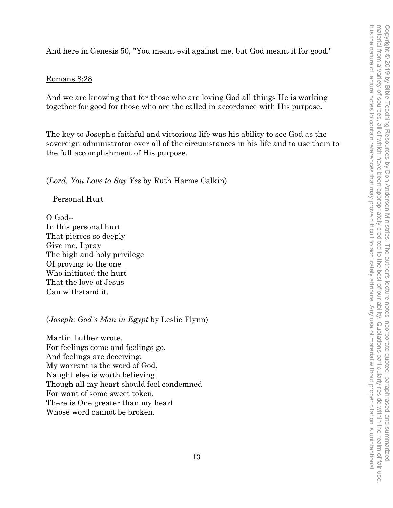And here in Genesis 50, "You meant evil against me, but God meant it for good."

## Romans 8:28

And we are knowing that for those who are loving God all things He is working together for good for those who are the called in accordance with His purpose.

The key to Joseph's faithful and victorious life was his ability to see God as the sovereign administrator over all of the circumstances in his life and to use them to the full accomplishment of His purpose.

(*Lord, You Love to Say Yes* by Ruth Harms Calkin)

Personal Hurt

O God-- In this personal hurt That pierces so deeply Give me, I pray The high and holy privilege Of proving to the one Who initiated the hurt That the love of Jesus Can withstand it.

(*Joseph: God's Man in Egypt* by Leslie Flynn)

Martin Luther wrote, For feelings come and feelings go, And feelings are deceiving; My warrant is the word of God, Naught else is worth believing. Though all my heart should feel condemned For want of some sweet token, There is One greater than my heart Whose word cannot be broken.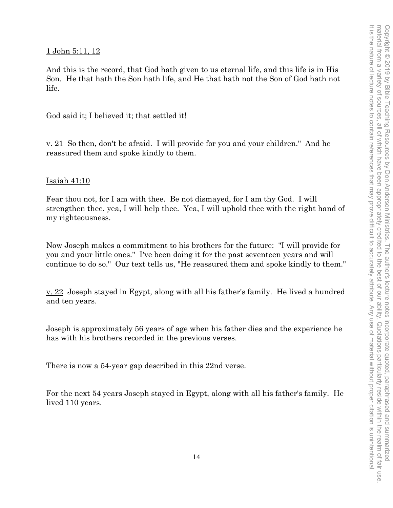## 1 John 5:11, 12

And this is the record, that God hath given to us eternal life, and this life is in His Son. He that hath the Son hath life, and He that hath not the Son of God hath not life.

God said it; I believed it; that settled it!

v. 21 So then, don't be afraid. I will provide for you and your children." And he reassured them and spoke kindly to them.

## Isaiah 41:10

Fear thou not, for I am with thee. Be not dismayed, for I am thy God. I will strengthen thee, yea, I will help thee. Yea, I will uphold thee with the right hand of my righteousness.

Now Joseph makes a commitment to his brothers for the future: "I will provide for you and your little ones." I've been doing it for the past seventeen years and will continue to do so." Our text tells us, "He reassured them and spoke kindly to them."

v. 22 Joseph stayed in Egypt, along with all his father's family. He lived a hundred and ten years.

Joseph is approximately 56 years of age when his father dies and the experience he has with his brothers recorded in the previous verses.

There is now a 54-year gap described in this 22nd verse.

For the next 54 years Joseph stayed in Egypt, along with all his father's family. He lived 110 years.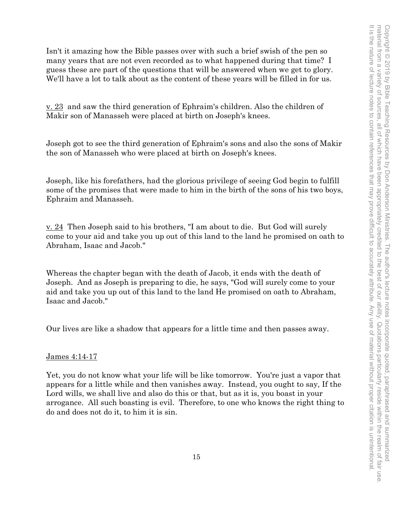Isn't it amazing how the Bible passes over with such a brief swish of the pen so many years that are not even recorded as to what happened during that time? I guess these are part of the questions that will be answered when we get to glory. We'll have a lot to talk about as the content of these years will be filled in for us.

v. 23 and saw the third generation of Ephraim's children. Also the children of Makir son of Manasseh were placed at birth on Joseph's knees.

Joseph got to see the third generation of Ephraim's sons and also the sons of Makir the son of Manasseh who were placed at birth on Joseph's knees.

Joseph, like his forefathers, had the glorious privilege of seeing God begin to fulfill some of the promises that were made to him in the birth of the sons of his two boys, Ephraim and Manasseh.

v. 24 Then Joseph said to his brothers, "I am about to die. But God will surely come to your aid and take you up out of this land to the land he promised on oath to Abraham, Isaac and Jacob."

Whereas the chapter began with the death of Jacob, it ends with the death of Joseph. And as Joseph is preparing to die, he says, "God will surely come to your aid and take you up out of this land to the land He promised on oath to Abraham, Isaac and Jacob."

Our lives are like a shadow that appears for a little time and then passes away.

# James 4:14-17

Yet, you do not know what your life will be like tomorrow. You're just a vapor that appears for a little while and then vanishes away. Instead, you ought to say, If the Lord wills, we shall live and also do this or that, but as it is, you boast in your arrogance. All such boasting is evil. Therefore, to one who knows the right thing to do and does not do it, to him it is sin.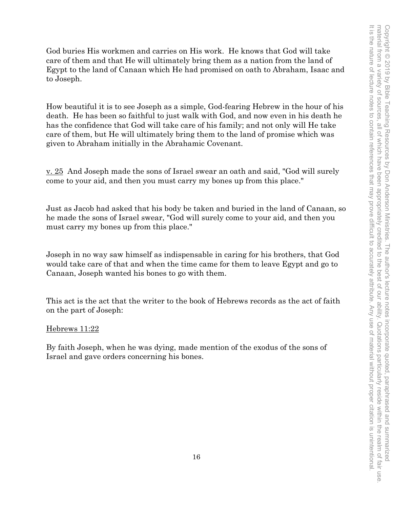God buries His workmen and carries on His work. He knows that God will take care of them and that He will ultimately bring them as a nation from the land of Egypt to the land of Canaan which He had promised on oath to Abraham, Isaac and to Joseph.

How beautiful it is to see Joseph as a simple, God-fearing Hebrew in the hour of his death. He has been so faithful to just walk with God, and now even in his death he has the confidence that God will take care of his family; and not only will He take care of them, but He will ultimately bring them to the land of promise which was given to Abraham initially in the Abrahamic Covenant.

v. 25 And Joseph made the sons of Israel swear an oath and said, "God will surely come to your aid, and then you must carry my bones up from this place."

Just as Jacob had asked that his body be taken and buried in the land of Canaan, so he made the sons of Israel swear, "God will surely come to your aid, and then you must carry my bones up from this place."

Joseph in no way saw himself as indispensable in caring for his brothers, that God would take care of that and when the time came for them to leave Egypt and go to Canaan, Joseph wanted his bones to go with them.

This act is the act that the writer to the book of Hebrews records as the act of faith on the part of Joseph:

# Hebrews 11:22

By faith Joseph, when he was dying, made mention of the exodus of the sons of Israel and gave orders concerning his bones.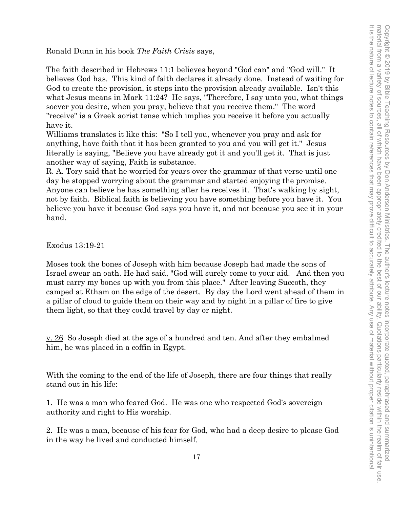Ronald Dunn in his book *The Faith Crisis* says,

The faith described in Hebrews 11:1 believes beyond "God can" and "God will." It believes God has. This kind of faith declares it already done. Instead of waiting for God to create the provision, it steps into the provision already available. Isn't this what Jesus means in <u>Mark 11:24?</u> He says, "Therefore, I say unto you, what things soever you desire, when you pray, believe that you receive them." The word "receive" is a Greek aorist tense which implies you receive it before you actually have it.

Williams translates it like this: "So I tell you, whenever you pray and ask for anything, have faith that it has been granted to you and you will get it." Jesus literally is saying, "Believe you have already got it and you'll get it. That is just another way of saying, Faith is substance.

R. A. Tory said that he worried for years over the grammar of that verse until one day he stopped worrying about the grammar and started enjoying the promise. Anyone can believe he has something after he receives it. That's walking by sight, not by faith. Biblical faith is believing you have something before you have it. You believe you have it because God says you have it, and not because you see it in your hand.

## Exodus 13:19-21

Moses took the bones of Joseph with him because Joseph had made the sons of Israel swear an oath. He had said, "God will surely come to your aid. And then you must carry my bones up with you from this place." After leaving Succoth, they camped at Etham on the edge of the desert. By day the Lord went ahead of them in a pillar of cloud to guide them on their way and by night in a pillar of fire to give them light, so that they could travel by day or night.

<u>v. 26</u> So Joseph died at the age of a hundred and ten. And after they embalmed him, he was placed in a coffin in Egypt.

With the coming to the end of the life of Joseph, there are four things that really stand out in his life:

1. He was a man who feared God. He was one who respected God's sovereign authority and right to His worship.

2. He was a man, because of his fear for God, who had a deep desire to please God in the way he lived and conducted himself.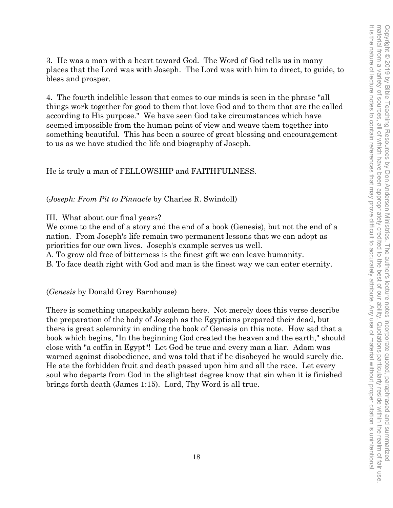3. He was a man with a heart toward God. The Word of God tells us in many places that the Lord was with Joseph. The Lord was with him to direct, to guide, to bless and prosper.

4. The fourth indelible lesson that comes to our minds is seen in the phrase "all things work together for good to them that love God and to them that are the called according to His purpose." We have seen God take circumstances which have seemed impossible from the human point of view and weave them together into something beautiful. This has been a source of great blessing and encouragement to us as we have studied the life and biography of Joseph.

He is truly a man of FELLOWSHIP and FAITHFULNESS.

(*Joseph: From Pit to Pinnacle* by Charles R. Swindoll)

III. What about our final years?

We come to the end of a story and the end of a book (Genesis), but not the end of a nation. From Joseph's life remain two permanent lessons that we can adopt as priorities for our own lives. Joseph's example serves us well.

A. To grow old free of bitterness is the finest gift we can leave humanity.

B. To face death right with God and man is the finest way we can enter eternity.

(*Genesis* by Donald Grey Barnhouse)

There is something unspeakably solemn here. Not merely does this verse describe the preparation of the body of Joseph as the Egyptians prepared their dead, but there is great solemnity in ending the book of Genesis on this note. How sad that a book which begins, "In the beginning God created the heaven and the earth," should close with "a coffin in Egypt"! Let God be true and every man a liar. Adam was warned against disobedience, and was told that if he disobeyed he would surely die. He ate the forbidden fruit and death passed upon him and all the race. Let every soul who departs from God in the slightest degree know that sin when it is finished brings forth death (James 1:15). Lord, Thy Word is all true.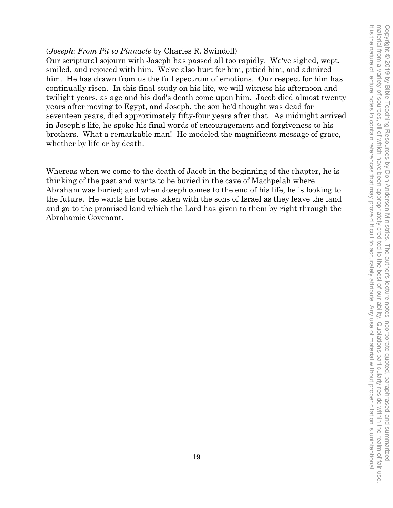## (*Joseph: From Pit to Pinnacle* by Charles R. Swindoll)

Our scriptural sojourn with Joseph has passed all too rapidly. We've sighed, wept, smiled, and rejoiced with him. We've also hurt for him, pitied him, and admired him. He has drawn from us the full spectrum of emotions. Our respect for him has continually risen. In this final study on his life, we will witness his afternoon and twilight years, as age and his dad's death come upon him. Jacob died almost twenty years after moving to Egypt, and Joseph, the son he'd thought was dead for seventeen years, died approximately fifty-four years after that. As midnight arrived in Joseph's life, he spoke his final words of encouragement and forgiveness to his brothers. What a remarkable man! He modeled the magnificent message of grace, whether by life or by death.

Whereas when we come to the death of Jacob in the beginning of the chapter, he is thinking of the past and wants to be buried in the cave of Machpelah where Abraham was buried; and when Joseph comes to the end of his life, he is looking to the future. He wants his bones taken with the sons of Israel as they leave the land and go to the promised land which the Lord has given to them by right through the Abrahamic Covenant.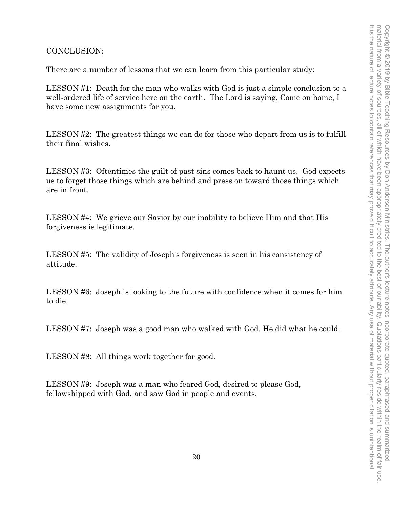# CONCLUSION:

There are a number of lessons that we can learn from this particular study:

LESSON #1: Death for the man who walks with God is just a simple conclusion to a well-ordered life of service here on the earth. The Lord is saying, Come on home, I have some new assignments for you.

LESSON #2: The greatest things we can do for those who depart from us is to fulfill their final wishes.

LESSON #3: Oftentimes the guilt of past sins comes back to haunt us. God expects us to forget those things which are behind and press on toward those things which are in front.

LESSON #4: We grieve our Savior by our inability to believe Him and that His forgiveness is legitimate.

LESSON #5: The validity of Joseph's forgiveness is seen in his consistency of attitude.

LESSON #6: Joseph is looking to the future with confidence when it comes for him to die.

LESSON #7: Joseph was a good man who walked with God. He did what he could.

LESSON #8: All things work together for good.

LESSON #9: Joseph was a man who feared God, desired to please God, fellowshipped with God, and saw God in people and events.